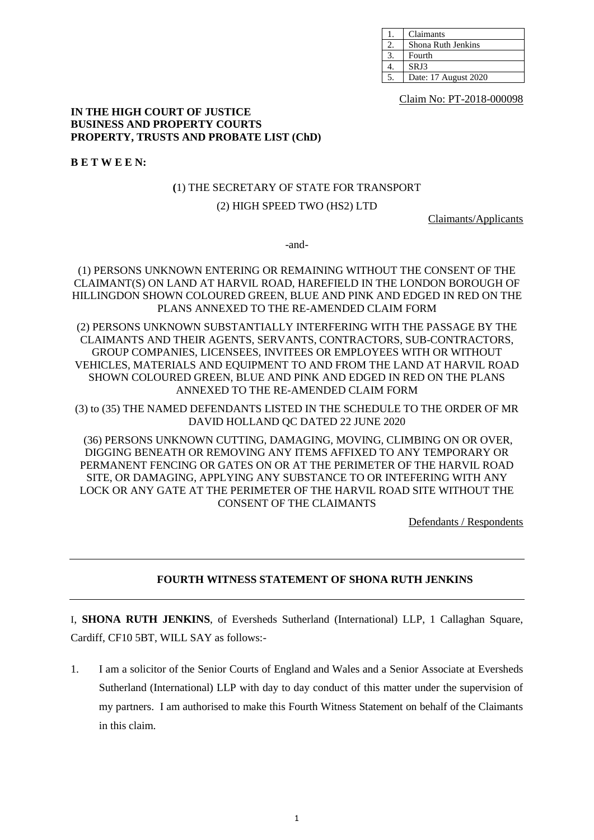| Claimants            |
|----------------------|
| Shona Ruth Jenkins   |
| Fourth               |
| SRJ3                 |
| Date: 17 August 2020 |

Claim No: PT-2018-000098

#### **IN THE HIGH COURT OF JUSTICE BUSINESS AND PROPERTY COURTS PROPERTY, TRUSTS AND PROBATE LIST (ChD)**

**B E T W E E N:**

## **(**1) THE SECRETARY OF STATE FOR TRANSPORT

# (2) HIGH SPEED TWO (HS2) LTD

Claimants/Applicants

-and-

(1) PERSONS UNKNOWN ENTERING OR REMAINING WITHOUT THE CONSENT OF THE CLAIMANT(S) ON LAND AT HARVIL ROAD, HAREFIELD IN THE LONDON BOROUGH OF HILLINGDON SHOWN COLOURED GREEN, BLUE AND PINK AND EDGED IN RED ON THE PLANS ANNEXED TO THE RE-AMENDED CLAIM FORM

(2) PERSONS UNKNOWN SUBSTANTIALLY INTERFERING WITH THE PASSAGE BY THE CLAIMANTS AND THEIR AGENTS, SERVANTS, CONTRACTORS, SUB-CONTRACTORS, GROUP COMPANIES, LICENSEES, INVITEES OR EMPLOYEES WITH OR WITHOUT VEHICLES, MATERIALS AND EQUIPMENT TO AND FROM THE LAND AT HARVIL ROAD SHOWN COLOURED GREEN, BLUE AND PINK AND EDGED IN RED ON THE PLANS ANNEXED TO THE RE-AMENDED CLAIM FORM

(3) to (35) THE NAMED DEFENDANTS LISTED IN THE SCHEDULE TO THE ORDER OF MR DAVID HOLLAND QC DATED 22 JUNE 2020

(36) PERSONS UNKNOWN CUTTING, DAMAGING, MOVING, CLIMBING ON OR OVER, DIGGING BENEATH OR REMOVING ANY ITEMS AFFIXED TO ANY TEMPORARY OR PERMANENT FENCING OR GATES ON OR AT THE PERIMETER OF THE HARVIL ROAD SITE, OR DAMAGING, APPLYING ANY SUBSTANCE TO OR INTEFERING WITH ANY LOCK OR ANY GATE AT THE PERIMETER OF THE HARVIL ROAD SITE WITHOUT THE CONSENT OF THE CLAIMANTS

Defendants / Respondents

# **FOURTH WITNESS STATEMENT OF SHONA RUTH JENKINS**

I, **SHONA RUTH JENKINS**, of Eversheds Sutherland (International) LLP, 1 Callaghan Square, Cardiff, CF10 5BT, WILL SAY as follows:-

1. I am a solicitor of the Senior Courts of England and Wales and a Senior Associate at Eversheds Sutherland (International) LLP with day to day conduct of this matter under the supervision of my partners. I am authorised to make this Fourth Witness Statement on behalf of the Claimants in this claim.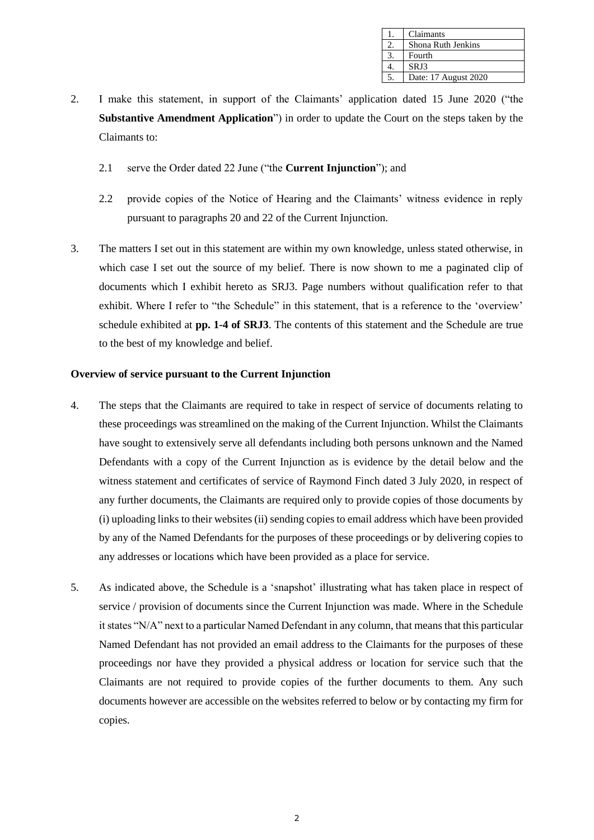| Claimants            |
|----------------------|
| Shona Ruth Jenkins   |
| Fourth               |
| SRJ3                 |
| Date: 17 August 2020 |

- 2. I make this statement, in support of the Claimants' application dated 15 June 2020 ("the **Substantive Amendment Application**") in order to update the Court on the steps taken by the Claimants to:
	- 2.1 serve the Order dated 22 June ("the **Current Injunction**"); and
	- 2.2 provide copies of the Notice of Hearing and the Claimants' witness evidence in reply pursuant to paragraphs 20 and 22 of the Current Injunction.
- 3. The matters I set out in this statement are within my own knowledge, unless stated otherwise, in which case I set out the source of my belief. There is now shown to me a paginated clip of documents which I exhibit hereto as SRJ3. Page numbers without qualification refer to that exhibit. Where I refer to "the Schedule" in this statement, that is a reference to the 'overview' schedule exhibited at **pp. 1-4 of SRJ3**. The contents of this statement and the Schedule are true to the best of my knowledge and belief.

#### **Overview of service pursuant to the Current Injunction**

- 4. The steps that the Claimants are required to take in respect of service of documents relating to these proceedings was streamlined on the making of the Current Injunction. Whilst the Claimants have sought to extensively serve all defendants including both persons unknown and the Named Defendants with a copy of the Current Injunction as is evidence by the detail below and the witness statement and certificates of service of Raymond Finch dated 3 July 2020, in respect of any further documents, the Claimants are required only to provide copies of those documents by (i) uploading links to their websites (ii) sending copies to email address which have been provided by any of the Named Defendants for the purposes of these proceedings or by delivering copies to any addresses or locations which have been provided as a place for service.
- 5. As indicated above, the Schedule is a 'snapshot' illustrating what has taken place in respect of service / provision of documents since the Current Injunction was made. Where in the Schedule it states "N/A" next to a particular Named Defendant in any column, that means that this particular Named Defendant has not provided an email address to the Claimants for the purposes of these proceedings nor have they provided a physical address or location for service such that the Claimants are not required to provide copies of the further documents to them. Any such documents however are accessible on the websites referred to below or by contacting my firm for copies.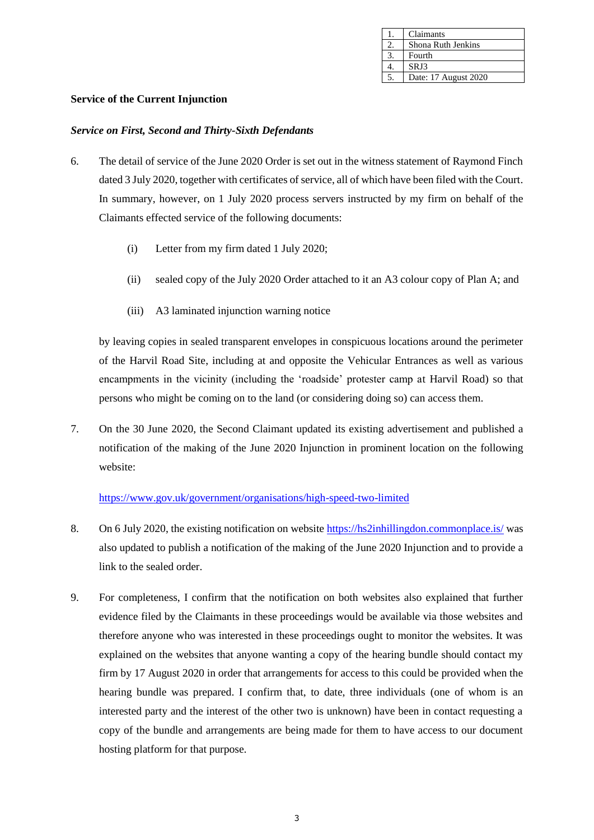| Claimants            |
|----------------------|
| Shona Ruth Jenkins   |
| Fourth               |
| SRJ3                 |
| Date: 17 August 2020 |

## **Service of the Current Injunction**

#### *Service on First, Second and Thirty-Sixth Defendants*

- 6. The detail of service of the June 2020 Order is set out in the witness statement of Raymond Finch dated 3 July 2020, together with certificates of service, all of which have been filed with the Court. In summary, however, on 1 July 2020 process servers instructed by my firm on behalf of the Claimants effected service of the following documents:
	- (i) Letter from my firm dated 1 July 2020;
	- (ii) sealed copy of the July 2020 Order attached to it an A3 colour copy of Plan A; and
	- (iii) A3 laminated injunction warning notice

by leaving copies in sealed transparent envelopes in conspicuous locations around the perimeter of the Harvil Road Site, including at and opposite the Vehicular Entrances as well as various encampments in the vicinity (including the 'roadside' protester camp at Harvil Road) so that persons who might be coming on to the land (or considering doing so) can access them.

7. On the 30 June 2020, the Second Claimant updated its existing advertisement and published a notification of the making of the June 2020 Injunction in prominent location on the following website:

## <https://www.gov.uk/government/organisations/high-speed-two-limited>

- 8. On 6 July 2020, the existing notification on websit[e https://hs2inhillingdon.commonplace.is/](https://hs2inhillingdon.commonplace.is/) was also updated to publish a notification of the making of the June 2020 Injunction and to provide a link to the sealed order.
- 9. For completeness, I confirm that the notification on both websites also explained that further evidence filed by the Claimants in these proceedings would be available via those websites and therefore anyone who was interested in these proceedings ought to monitor the websites. It was explained on the websites that anyone wanting a copy of the hearing bundle should contact my firm by 17 August 2020 in order that arrangements for access to this could be provided when the hearing bundle was prepared. I confirm that, to date, three individuals (one of whom is an interested party and the interest of the other two is unknown) have been in contact requesting a copy of the bundle and arrangements are being made for them to have access to our document hosting platform for that purpose.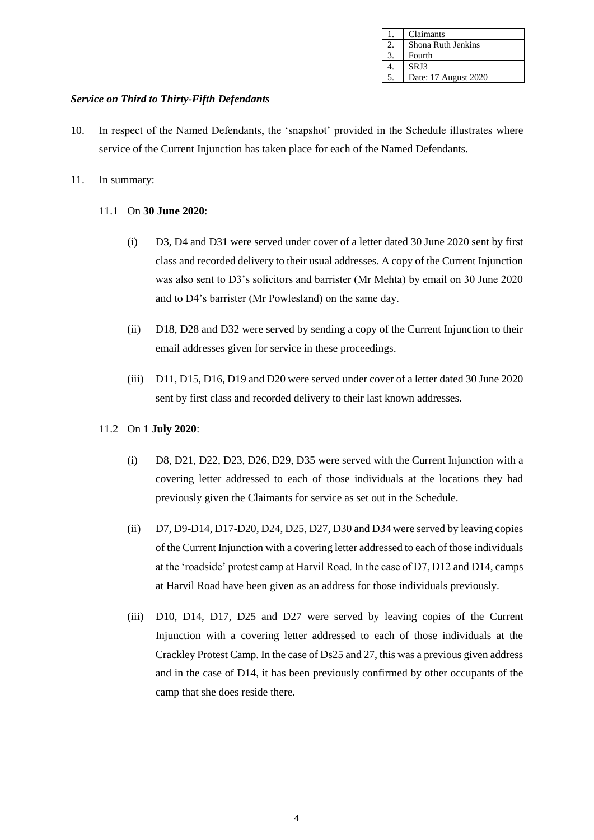| Claimants            |
|----------------------|
| Shona Ruth Jenkins   |
| Fourth               |
| SRJ3                 |
| Date: 17 August 2020 |

# *Service on Third to Thirty-Fifth Defendants*

- 10. In respect of the Named Defendants, the 'snapshot' provided in the Schedule illustrates where service of the Current Injunction has taken place for each of the Named Defendants.
- 11. In summary:
	- 11.1 On **30 June 2020**:
		- (i) D3, D4 and D31 were served under cover of a letter dated 30 June 2020 sent by first class and recorded delivery to their usual addresses. A copy of the Current Injunction was also sent to D3's solicitors and barrister (Mr Mehta) by email on 30 June 2020 and to D4's barrister (Mr Powlesland) on the same day.
		- (ii) D18, D28 and D32 were served by sending a copy of the Current Injunction to their email addresses given for service in these proceedings.
		- (iii) D11, D15, D16, D19 and D20 were served under cover of a letter dated 30 June 2020 sent by first class and recorded delivery to their last known addresses.

## 11.2 On **1 July 2020**:

- (i) D8, D21, D22, D23, D26, D29, D35 were served with the Current Injunction with a covering letter addressed to each of those individuals at the locations they had previously given the Claimants for service as set out in the Schedule.
- (ii) D7, D9-D14, D17-D20, D24, D25, D27, D30 and D34 were served by leaving copies of the Current Injunction with a covering letter addressed to each of those individuals at the 'roadside' protest camp at Harvil Road. In the case of D7, D12 and D14, camps at Harvil Road have been given as an address for those individuals previously.
- (iii) D10, D14, D17, D25 and D27 were served by leaving copies of the Current Injunction with a covering letter addressed to each of those individuals at the Crackley Protest Camp. In the case of Ds25 and 27, this was a previous given address and in the case of D14, it has been previously confirmed by other occupants of the camp that she does reside there.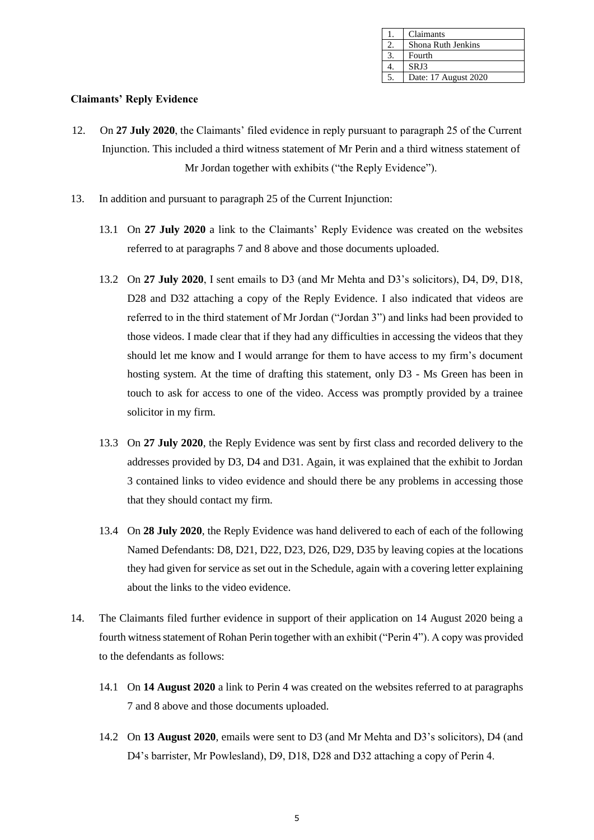| Claimants            |
|----------------------|
| Shona Ruth Jenkins   |
| Fourth               |
| SRJ3                 |
| Date: 17 August 2020 |

## **Claimants' Reply Evidence**

- 12. On **27 July 2020**, the Claimants' filed evidence in reply pursuant to paragraph 25 of the Current Injunction. This included a third witness statement of Mr Perin and a third witness statement of Mr Jordan together with exhibits ("the Reply Evidence").
- 13. In addition and pursuant to paragraph 25 of the Current Injunction:
	- 13.1 On **27 July 2020** a link to the Claimants' Reply Evidence was created on the websites referred to at paragraphs 7 and 8 above and those documents uploaded.
	- 13.2 On **27 July 2020**, I sent emails to D3 (and Mr Mehta and D3's solicitors), D4, D9, D18, D28 and D32 attaching a copy of the Reply Evidence. I also indicated that videos are referred to in the third statement of Mr Jordan ("Jordan 3") and links had been provided to those videos. I made clear that if they had any difficulties in accessing the videos that they should let me know and I would arrange for them to have access to my firm's document hosting system. At the time of drafting this statement, only D3 - Ms Green has been in touch to ask for access to one of the video. Access was promptly provided by a trainee solicitor in my firm.
	- 13.3 On **27 July 2020**, the Reply Evidence was sent by first class and recorded delivery to the addresses provided by D3, D4 and D31. Again, it was explained that the exhibit to Jordan 3 contained links to video evidence and should there be any problems in accessing those that they should contact my firm.
	- 13.4 On **28 July 2020**, the Reply Evidence was hand delivered to each of each of the following Named Defendants: D8, D21, D22, D23, D26, D29, D35 by leaving copies at the locations they had given for service as set out in the Schedule, again with a covering letter explaining about the links to the video evidence.
- 14. The Claimants filed further evidence in support of their application on 14 August 2020 being a fourth witness statement of Rohan Perin together with an exhibit ("Perin 4"). A copy was provided to the defendants as follows:
	- 14.1 On **14 August 2020** a link to Perin 4 was created on the websites referred to at paragraphs 7 and 8 above and those documents uploaded.
	- 14.2 On **13 August 2020**, emails were sent to D3 (and Mr Mehta and D3's solicitors), D4 (and D4's barrister, Mr Powlesland), D9, D18, D28 and D32 attaching a copy of Perin 4.